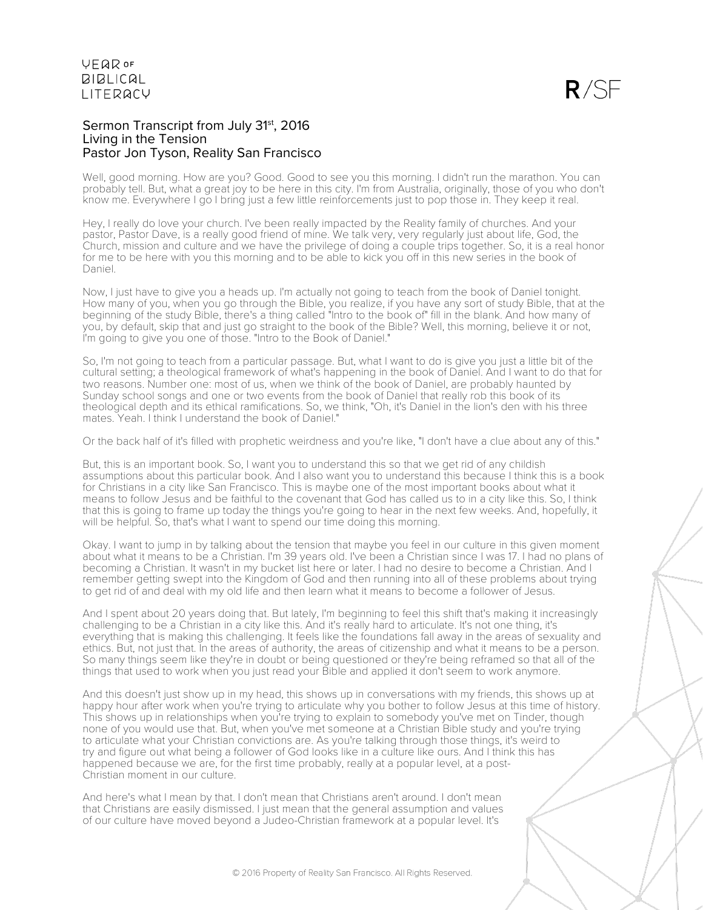### Sermon Transcript from July 31<sup>st</sup>, 2016 Living in the Tension Pastor Jon Tyson, Reality San Francisco

Well, good morning. How are you? Good. Good to see you this morning. I didn't run the marathon. You can probably tell. But, what a great joy to be here in this city. I'm from Australia, originally, those of you who don't know me. Everywhere I go I bring just a few little reinforcements just to pop those in. They keep it real.

Hey, I really do love your church. I've been really impacted by the Reality family of churches. And your pastor, Pastor Dave, is a really good friend of mine. We talk very, very regularly just about life, God, the Church, mission and culture and we have the privilege of doing a couple trips together. So, it is a real honor for me to be here with you this morning and to be able to kick you off in this new series in the book of Daniel.

Now, I just have to give you a heads up. I'm actually not going to teach from the book of Daniel tonight. How many of you, when you go through the Bible, you realize, if you have any sort of study Bible, that at the beginning of the study Bible, there's a thing called "Intro to the book of" fill in the blank. And how many of you, by default, skip that and just go straight to the book of the Bible? Well, this morning, believe it or not, I'm going to give you one of those. "Intro to the Book of Daniel."

So, I'm not going to teach from a particular passage. But, what I want to do is give you just a little bit of the cultural setting; a theological framework of what's happening in the book of Daniel. And I want to do that for two reasons. Number one: most of us, when we think of the book of Daniel, are probably haunted by Sunday school songs and one or two events from the book of Daniel that really rob this book of its theological depth and its ethical ramifications. So, we think, "Oh, it's Daniel in the lion's den with his three mates. Yeah. I think I understand the book of Daniel."

Or the back half of it's filled with prophetic weirdness and you're like, "I don't have a clue about any of this."

But, this is an important book. So, I want you to understand this so that we get rid of any childish assumptions about this particular book. And I also want you to understand this because I think this is a book for Christians in a city like San Francisco. This is maybe one of the most important books about what it means to follow Jesus and be faithful to the covenant that God has called us to in a city like this. So, I think that this is going to frame up today the things you're going to hear in the next few weeks. And, hopefully, it will be helpful. So, that's what I want to spend our time doing this morning.

Okay. I want to jump in by talking about the tension that maybe you feel in our culture in this given moment about what it means to be a Christian. I'm 39 years old. I've been a Christian since I was 17. I had no plans of becoming a Christian. It wasn't in my bucket list here or later. I had no desire to become a Christian. And I remember getting swept into the Kingdom of God and then running into all of these problems about trying to get rid of and deal with my old life and then learn what it means to become a follower of Jesus.

And I spent about 20 years doing that. But lately, I'm beginning to feel this shift that's making it increasingly challenging to be a Christian in a city like this. And it's really hard to articulate. It's not one thing, it's everything that is making this challenging. It feels like the foundations fall away in the areas of sexuality and ethics. But, not just that. In the areas of authority, the areas of citizenship and what it means to be a person. So many things seem like they're in doubt or being questioned or they're being reframed so that all of the things that used to work when you just read your Bible and applied it don't seem to work anymore.

And this doesn't just show up in my head, this shows up in conversations with my friends, this shows up at happy hour after work when you're trying to articulate why you bother to follow Jesus at this time of history. This shows up in relationships when you're trying to explain to somebody you've met on Tinder, though none of you would use that. But, when you've met someone at a Christian Bible study and you're trying to articulate what your Christian convictions are. As you're talking through those things, it's weird to try and figure out what being a follower of God looks like in a culture like ours. And I think this has happened because we are, for the first time probably, really at a popular level, at a post-Christian moment in our culture.

And here's what I mean by that. I don't mean that Christians aren't around. I don't mean that Christians are easily dismissed. I just mean that the general assumption and values of our culture have moved beyond a Judeo-Christian framework at a popular level. It's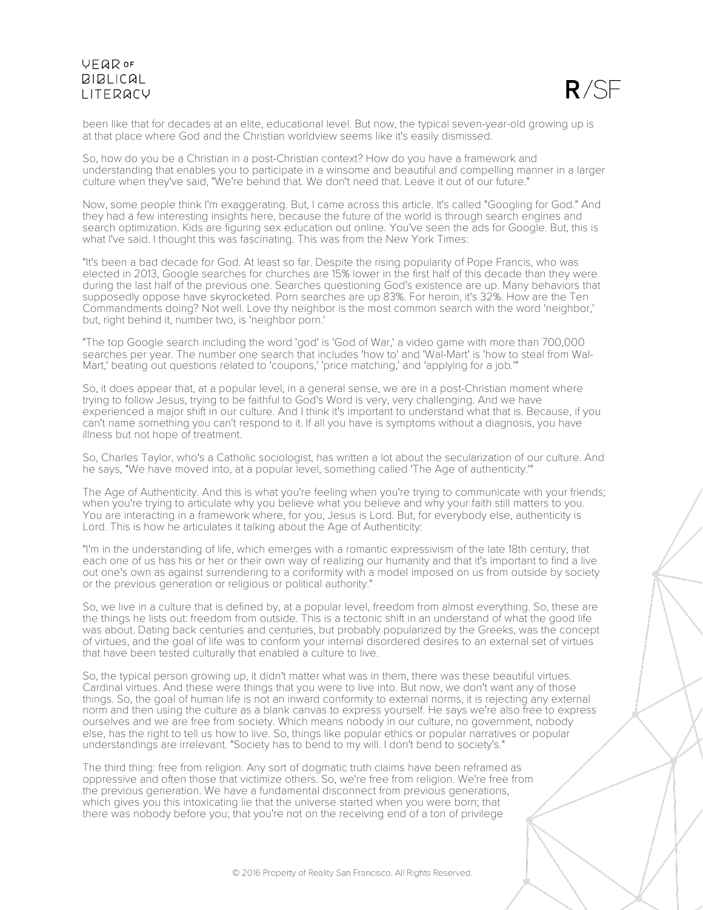

been like that for decades at an elite, educational level. But now, the typical seven-year-old growing up is at that place where God and the Christian worldview seems like it's easily dismissed.

So, how do you be a Christian in a post-Christian context? How do you have a framework and understanding that enables you to participate in a winsome and beautiful and compelling manner in a larger culture when they've said, "We're behind that. We don't need that. Leave it out of our future."

Now, some people think I'm exaggerating. But, I came across this article. It's called "Googling for God." And they had a few interesting insights here, because the future of the world is through search engines and search optimization. Kids are figuring sex education out online. You've seen the ads for Google. But, this is what I've said. I thought this was fascinating. This was from the New York Times:

"It's been a bad decade for God. At least so far. Despite the rising popularity of Pope Francis, who was elected in 2013, Google searches for churches are 15% lower in the first half of this decade than they were during the last half of the previous one. Searches questioning God's existence are up. Many behaviors that supposedly oppose have skyrocketed. Porn searches are up 83%. For heroin, it's 32%. How are the Ten Commandments doing? Not well. Love thy neighbor is the most common search with the word 'neighbor,' but, right behind it, number two, is 'neighbor porn.'

"The top Google search including the word 'god' is 'God of War,' a video game with more than 700,000 searches per year. The number one search that includes 'how to' and 'Wal-Mart' is 'how to steal from Wal-Mart,' beating out questions related to 'coupons,' 'price matching,' and 'applying for a job.'"

So, it does appear that, at a popular level, in a general sense, we are in a post-Christian moment where trying to follow Jesus, trying to be faithful to God's Word is very, very challenging. And we have experienced a major shift in our culture. And I think it's important to understand what that is. Because, if you can't name something you can't respond to it. If all you have is symptoms without a diagnosis, you have illness but not hope of treatment.

So, Charles Taylor, who's a Catholic sociologist, has written a lot about the secularization of our culture. And he says, "We have moved into, at a popular level, something called 'The Age of authenticity.'"

The Age of Authenticity. And this is what you're feeling when you're trying to communicate with your friends; when you're trying to articulate why you believe what you believe and why your faith still matters to you. You are interacting in a framework where, for you, Jesus is Lord. But, for everybody else, authenticity is Lord. This is how he articulates it talking about the Age of Authenticity:

"I'm in the understanding of life, which emerges with a romantic expressivism of the late 18th century, that each one of us has his or her or their own way of realizing our humanity and that it's important to find a live out one's own as against surrendering to a conformity with a model imposed on us from outside by society or the previous generation or religious or political authority."

So, we live in a culture that is defined by, at a popular level, freedom from almost everything. So, these are the things he lists out: freedom from outside. This is a tectonic shift in an understand of what the good life was about. Dating back centuries and centuries, but probably popularized by the Greeks, was the concept of virtues, and the goal of life was to conform your internal disordered desires to an external set of virtues that have been tested culturally that enabled a culture to live.

So, the typical person growing up, it didn't matter what was in them, there was these beautiful virtues. Cardinal virtues. And these were things that you were to live into. But now, we don't want any of those things. So, the goal of human life is not an inward conformity to external norms, it is rejecting any external norm and then using the culture as a blank canvas to express yourself. He says we're also free to express ourselves and we are free from society. Which means nobody in our culture, no government, nobody else, has the right to tell us how to live. So, things like popular ethics or popular narratives or popular understandings are irrelevant. "Society has to bend to my will. I don't bend to society's."

The third thing: free from religion. Any sort of dogmatic truth claims have been reframed as oppressive and often those that victimize others. So, we're free from religion. We're free from the previous generation. We have a fundamental disconnect from previous generations, which gives you this intoxicating lie that the universe started when you were born; that there was nobody before you; that you're not on the receiving end of a ton of privilege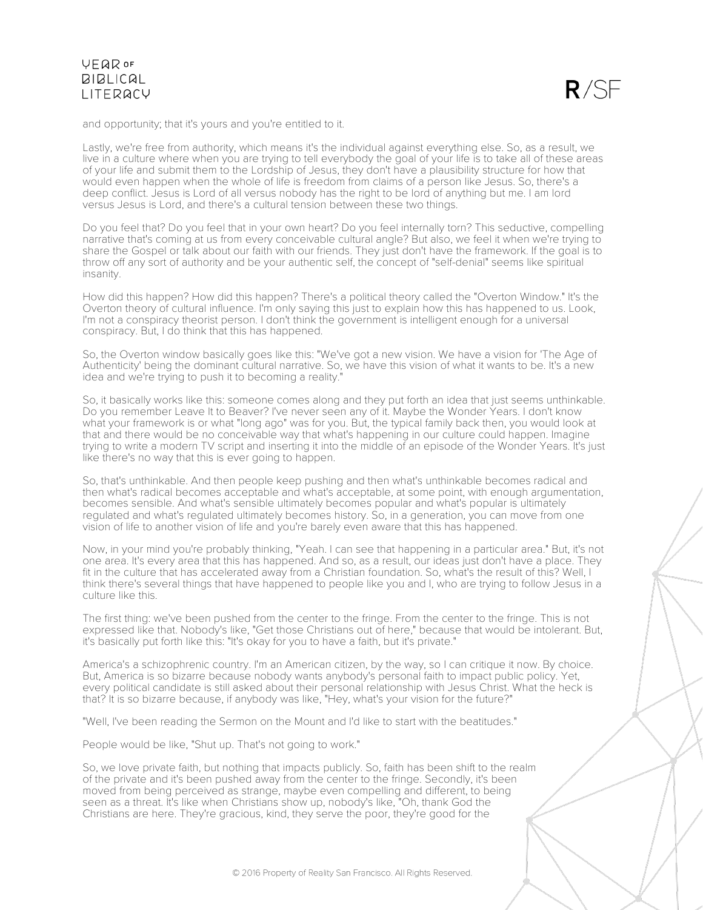

and opportunity; that it's yours and you're entitled to it.

Lastly, we're free from authority, which means it's the individual against everything else. So, as a result, we live in a culture where when you are trying to tell everybody the goal of your life is to take all of these areas of your life and submit them to the Lordship of Jesus, they don't have a plausibility structure for how that would even happen when the whole of life is freedom from claims of a person like Jesus. So, there's a deep conflict. Jesus is Lord of all versus nobody has the right to be lord of anything but me. I am lord versus Jesus is Lord, and there's a cultural tension between these two things.

Do you feel that? Do you feel that in your own heart? Do you feel internally torn? This seductive, compelling narrative that's coming at us from every conceivable cultural angle? But also, we feel it when we're trying to share the Gospel or talk about our faith with our friends. They just don't have the framework. If the goal is to throw off any sort of authority and be your authentic self, the concept of "self-denial" seems like spiritual insanity.

How did this happen? How did this happen? There's a political theory called the "Overton Window." It's the Overton theory of cultural influence. I'm only saying this just to explain how this has happened to us. Look, I'm not a conspiracy theorist person. I don't think the government is intelligent enough for a universal conspiracy. But, I do think that this has happened.

So, the Overton window basically goes like this: "We've got a new vision. We have a vision for 'The Age of Authenticity' being the dominant cultural narrative. So, we have this vision of what it wants to be. It's a new idea and we're trying to push it to becoming a reality."

So, it basically works like this: someone comes along and they put forth an idea that just seems unthinkable. Do you remember Leave It to Beaver? I've never seen any of it. Maybe the Wonder Years. I don't know what your framework is or what "long ago" was for you. But, the typical family back then, you would look at that and there would be no conceivable way that what's happening in our culture could happen. Imagine trying to write a modern TV script and inserting it into the middle of an episode of the Wonder Years. It's just like there's no way that this is ever going to happen.

So, that's unthinkable. And then people keep pushing and then what's unthinkable becomes radical and then what's radical becomes acceptable and what's acceptable, at some point, with enough argumentation, becomes sensible. And what's sensible ultimately becomes popular and what's popular is ultimately regulated and what's regulated ultimately becomes history. So, in a generation, you can move from one vision of life to another vision of life and you're barely even aware that this has happened.

Now, in your mind you're probably thinking, "Yeah. I can see that happening in a particular area." But, it's not one area. It's every area that this has happened. And so, as a result, our ideas just don't have a place. They fit in the culture that has accelerated away from a Christian foundation. So, what's the result of this? Well, I think there's several things that have happened to people like you and I, who are trying to follow Jesus in a culture like this.

The first thing: we've been pushed from the center to the fringe. From the center to the fringe. This is not expressed like that. Nobody's like, "Get those Christians out of here," because that would be intolerant. But, it's basically put forth like this: "It's okay for you to have a faith, but it's private."

America's a schizophrenic country. I'm an American citizen, by the way, so I can critique it now. By choice. But, America is so bizarre because nobody wants anybody's personal faith to impact public policy. Yet, every political candidate is still asked about their personal relationship with Jesus Christ. What the heck is that? It is so bizarre because, if anybody was like, "Hey, what's your vision for the future?"

"Well, I've been reading the Sermon on the Mount and I'd like to start with the beatitudes."

People would be like, "Shut up. That's not going to work."

So, we love private faith, but nothing that impacts publicly. So, faith has been shift to the realm of the private and it's been pushed away from the center to the fringe. Secondly, it's been moved from being perceived as strange, maybe even compelling and different, to being seen as a threat. It's like when Christians show up, nobody's like, "Oh, thank God the Christians are here. They're gracious, kind, they serve the poor, they're good for the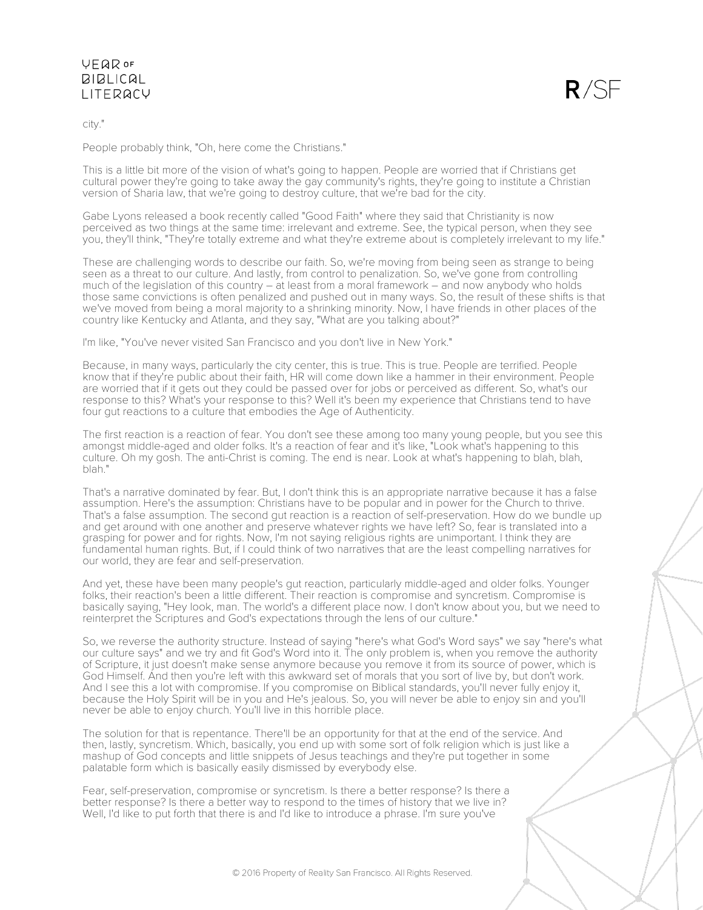# $R/SF$

#### city."

People probably think, "Oh, here come the Christians."

This is a little bit more of the vision of what's going to happen. People are worried that if Christians get cultural power they're going to take away the gay community's rights, they're going to institute a Christian version of Sharia law, that we're going to destroy culture, that we're bad for the city.

Gabe Lyons released a book recently called "Good Faith" where they said that Christianity is now perceived as two things at the same time: irrelevant and extreme. See, the typical person, when they see you, they'll think, "They're totally extreme and what they're extreme about is completely irrelevant to my life."

These are challenging words to describe our faith. So, we're moving from being seen as strange to being seen as a threat to our culture. And lastly, from control to penalization. So, we've gone from controlling much of the legislation of this country – at least from a moral framework – and now anybody who holds those same convictions is often penalized and pushed out in many ways. So, the result of these shifts is that we've moved from being a moral majority to a shrinking minority. Now, I have friends in other places of the country like Kentucky and Atlanta, and they say, "What are you talking about?"

I'm like, "You've never visited San Francisco and you don't live in New York."

Because, in many ways, particularly the city center, this is true. This is true. People are terrified. People know that if they're public about their faith, HR will come down like a hammer in their environment. People are worried that if it gets out they could be passed over for jobs or perceived as different. So, what's our response to this? What's your response to this? Well it's been my experience that Christians tend to have four gut reactions to a culture that embodies the Age of Authenticity.

The first reaction is a reaction of fear. You don't see these among too many young people, but you see this amongst middle-aged and older folks. It's a reaction of fear and it's like, "Look what's happening to this culture. Oh my gosh. The anti-Christ is coming. The end is near. Look at what's happening to blah, blah, blah."

That's a narrative dominated by fear. But, I don't think this is an appropriate narrative because it has a false assumption. Here's the assumption: Christians have to be popular and in power for the Church to thrive. That's a false assumption. The second gut reaction is a reaction of self-preservation. How do we bundle up and get around with one another and preserve whatever rights we have left? So, fear is translated into a grasping for power and for rights. Now, I'm not saying religious rights are unimportant. I think they are fundamental human rights. But, if I could think of two narratives that are the least compelling narratives for our world, they are fear and self-preservation.

And yet, these have been many people's gut reaction, particularly middle-aged and older folks. Younger folks, their reaction's been a little different. Their reaction is compromise and syncretism. Compromise is basically saying, "Hey look, man. The world's a different place now. I don't know about you, but we need to reinterpret the Scriptures and God's expectations through the lens of our culture."

So, we reverse the authority structure. Instead of saying "here's what God's Word says" we say "here's what our culture says" and we try and fit God's Word into it. The only problem is, when you remove the authority of Scripture, it just doesn't make sense anymore because you remove it from its source of power, which is God Himself. And then you're left with this awkward set of morals that you sort of live by, but don't work. And I see this a lot with compromise. If you compromise on Biblical standards, you'll never fully enjoy it, because the Holy Spirit will be in you and He's jealous. So, you will never be able to enjoy sin and you'll never be able to enjoy church. You'll live in this horrible place.

The solution for that is repentance. There'll be an opportunity for that at the end of the service. And then, lastly, syncretism. Which, basically, you end up with some sort of folk religion which is just like a mashup of God concepts and little snippets of Jesus teachings and they're put together in some palatable form which is basically easily dismissed by everybody else.

Fear, self-preservation, compromise or syncretism. Is there a better response? Is there a better response? Is there a better way to respond to the times of history that we live in? Well, I'd like to put forth that there is and I'd like to introduce a phrase. I'm sure you've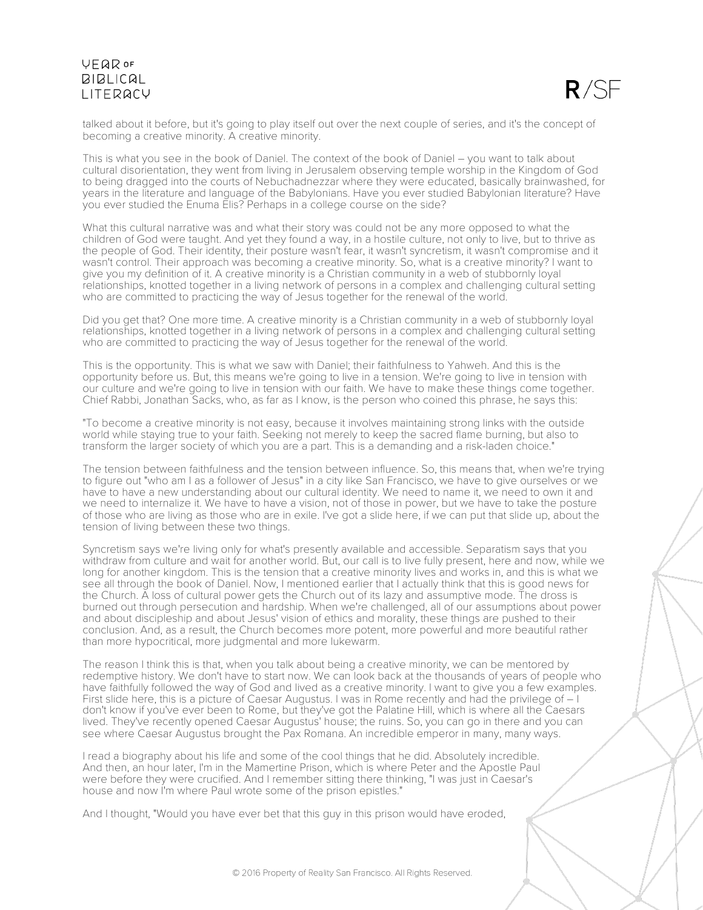$R/SE$ 

talked about it before, but it's going to play itself out over the next couple of series, and it's the concept of becoming a creative minority. A creative minority.

This is what you see in the book of Daniel. The context of the book of Daniel – you want to talk about cultural disorientation, they went from living in Jerusalem observing temple worship in the Kingdom of God to being dragged into the courts of Nebuchadnezzar where they were educated, basically brainwashed, for years in the literature and language of the Babylonians. Have you ever studied Babylonian literature? Have you ever studied the Enuma Elis? Perhaps in a college course on the side?

What this cultural narrative was and what their story was could not be any more opposed to what the children of God were taught. And yet they found a way, in a hostile culture, not only to live, but to thrive as the people of God. Their identity, their posture wasn't fear, it wasn't syncretism, it wasn't compromise and it wasn't control. Their approach was becoming a creative minority. So, what is a creative minority? I want to give you my definition of it. A creative minority is a Christian community in a web of stubbornly loyal relationships, knotted together in a living network of persons in a complex and challenging cultural setting who are committed to practicing the way of Jesus to gether for the renewal of the world.

Did you get that? One more time. A creative minority is a Christian community in a web of stubbornly loyal relationships, knotted together in a living network of persons in a complex and challenging cultural setting who are committed to practicing the way of Jesus together for the renewal of the world.

This is the opportunity. This is what we saw with Daniel; their faithfulness to Yahweh. And this is the opportunity before us. But, this means we're going to live in a tension. We're going to live in tension with our culture and we're going to live in tension with our faith. We have to make these things come together. Chief Rabbi, Jonathan Sacks, who, as far as I know, is the person who coined this phrase, he says this:

"To become a creative minority is not easy, because it involves maintaining strong links with the outside world while staying true to your faith. Seeking not merely to keep the sacred flame burning, but also to transform the larger society of which you are a part. This is a demanding and a risk-laden choice."

The tension between faithfulness and the tension between influence. So, this means that, when we're trying to figure out "who am I as a follower of Jesus" in a city like San Francisco, we have to give ourselves or we have to have a new understanding about our cultural identity. We need to name it, we need to own it and we need to internalize it. We have to have a vision, not of those in power, but we have to take the posture of those who are living as those who are in exile. I've got a slide here, if we can put that slide up, about the tension of living between these two things.

Syncretism says we're living only for what's presently available and accessible. Separatism says that you withdraw from culture and wait for another world. But, our call is to live fully present, here and now, while we long for another kingdom. This is the tension that a creative minority lives and works in, and this is what we see all through the book of Daniel. Now, I mentioned earlier that I actually think that this is good news for the Church. A loss of cultural power gets the Church out of its lazy and assumptive mode. The dross is burned out through persecution and hardship. When we're challenged, all of our assumptions about power and about discipleship and about Jesus' vision of ethics and morality, these things are pushed to their conclusion. And, as a result, the Church becomes more potent, more powerful and more beautiful rather than more hypocritical, more judgmental and more lukewarm.

The reason I think this is that, when you talk about being a creative minority, we can be mentored by redemptive history. We don't have to start now. We can look back at the thousands of years of people who have faithfully followed the way of God and lived as a creative minority. I want to give you a few examples. First slide here, this is a picture of Caesar Augustus. I was in Rome recently and had the privilege of – I don't know if you've ever been to Rome, but they've got the Palatine Hill, which is where all the Caesars lived. They've recently opened Caesar Augustus' house; the ruins. So, you can go in there and you can see where Caesar Augustus brought the Pax Romana. An incredible emperor in many, many ways.

I read a biography about his life and some of the cool things that he did. Absolutely incredible. And then, an hour later, I'm in the Mamertine Prison, which is where Peter and the Apostle Paul were before they were crucified. And I remember sitting there thinking, "I was just in Caesar's house and now I'm where Paul wrote some of the prison epistles."

And I thought, "Would you have ever bet that this guy in this prison would have eroded,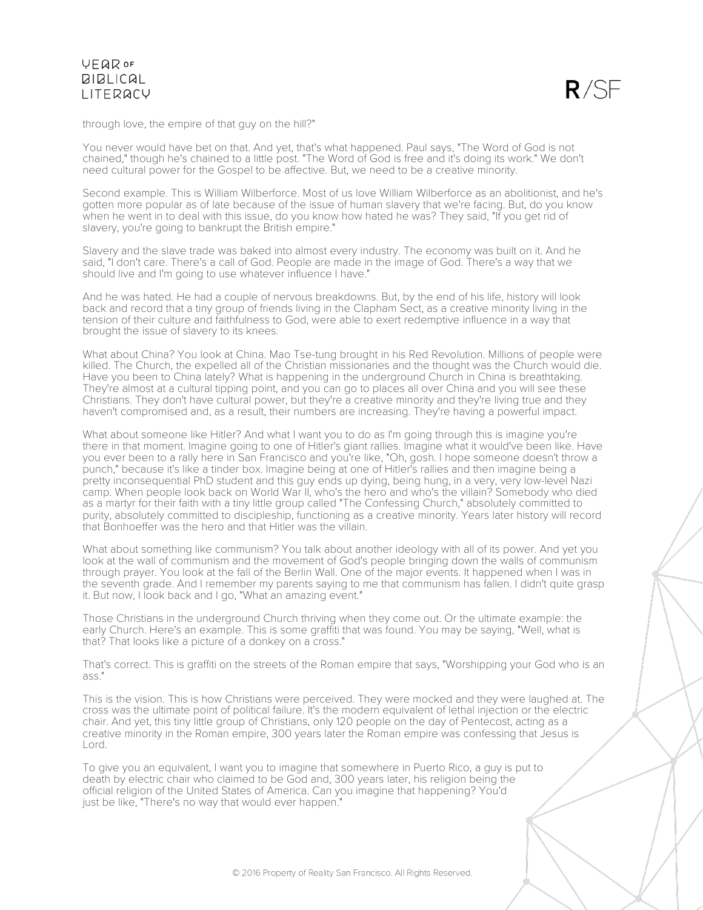

through love, the empire of that guy on the hill?"

You never would have bet on that. And yet, that's what happened. Paul says, "The Word of God is not chained," though he's chained to a little post. "The Word of God is free and it's doing its work." We don't need cultural power for the Gospel to be affective. But, we need to be a creative minority.

Second example. This is William Wilberforce. Most of us love William Wilberforce as an abolitionist, and he's gotten more popular as of late because of the issue of human slavery that we're facing. But, do you know when he went in to deal with this issue, do you know how hated he was? They said, "If you get rid of slavery, you're going to bankrupt the British empire."

Slavery and the slave trade was baked into almost every industry. The economy was built on it. And he said, "I don't care. There's a call of God. People are made in the image of God. There's a way that we should live and I'm going to use whatever influence I have."

And he was hated. He had a couple of nervous breakdowns. But, by the end of his life, history will look back and record that a tiny group of friends living in the Clapham Sect, as a creative minority living in the tension of their culture and faithfulness to God, were able to exert redemptive influence in a way that brought the issue of slavery to its knees.

What about China? You look at China. Mao Tse-tung brought in his Red Revolution. Millions of people were killed. The Church, the expelled all of the Christian missionaries and the thought was the Church would die. Have you been to China lately? What is happening in the underground Church in China is breathtaking. They're almost at a cultural tipping point, and you can go to places all over China and you will see these Christians. They don't have cultural power, but they're a creative minority and they're living true and they haven't compromised and, as a result, their numbers are increasing. They're having a powerful impact.

What about someone like Hitler? And what I want you to do as I'm going through this is imagine you're there in that moment. Imagine going to one of Hitler's giant rallies. Imagine what it would've been like. Have you ever been to a rally here in San Francisco and you're like, "Oh, gosh. I hope someone doesn't throw a punch," because it's like a tinder box. Imagine being at one of Hitler's rallies and then imagine being a pretty inconsequential PhD student and this guy ends up dying, being hung, in a very, very low-level Nazi camp. When people look back on World War II, who's the hero and who's the villain? Somebody who died as a martyr for their faith with a tiny little group called "The Confessing Church," absolutely committed to purity, absolutely committed to discipleship, functioning as a creative minority. Years later history will record that Bonhoeffer was the hero and that Hitler was the villain.

What about something like communism? You talk about another ideology with all of its power. And yet you look at the wall of communism and the movement of God's people bringing down the walls of communism through prayer. You look at the fall of the Berlin Wall. One of the major events. It happened when I was in the seventh grade. And I remember my parents saying to me that communism has fallen. I didn't quite grasp it. But now, I look back and I go, "What an amazing event."

Those Christians in the underground Church thriving when they come out. Or the ultimate example: the early Church. Here's an example. This is some graffiti that was found. You may be saying, "Well, what is that? That looks like a picture of a donkey on a cross."

That's correct. This is graffiti on the streets of the Roman empire that says, "Worshipping your God who is an ass."

This is the vision. This is how Christians were perceived. They were mocked and they were laughed at. The cross was the ultimate point of political failure. It's the modern equivalent of lethal injection or the electric chair. And yet, this tiny little group of Christians, only 120 people on the day of Pentecost, acting as a creative minority in the Roman empire, 300 years later the Roman empire was confessing that Jesus is Lord.

To give you an equivalent, I want you to imagine that somewhere in Puerto Rico, a guy is put to death by electric chair who claimed to be God and, 300 years later, his religion being the official religion of the United States of America. Can you imagine that happening? You'd just be like, "There's no way that would ever happen."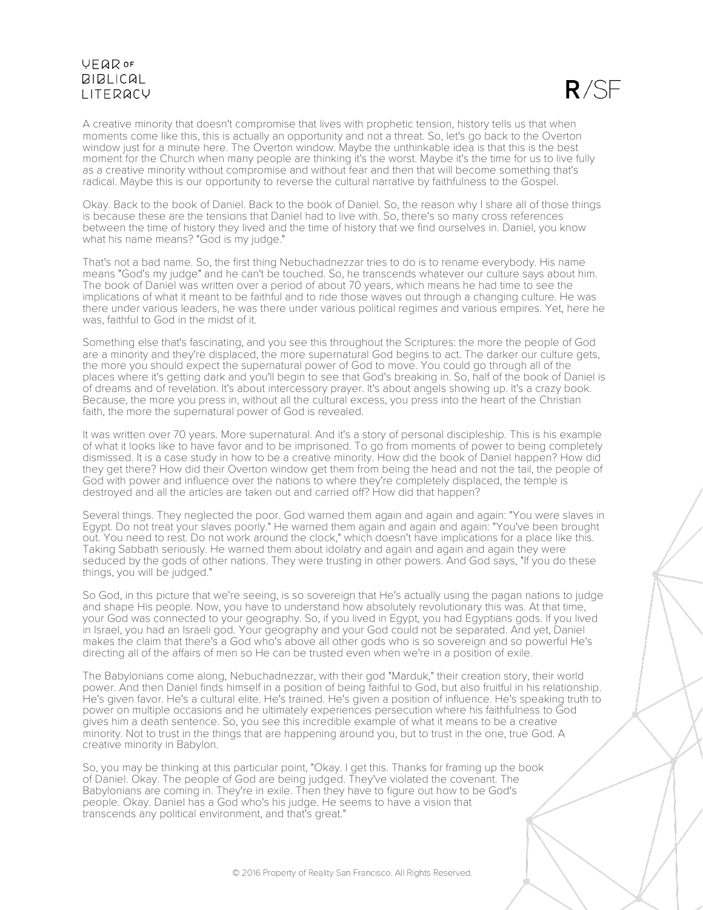$R/SF$ 

A creative minority that doesn't compromise that lives with prophetic tension, history tells us that when moments come like this, this is actually an opportunity and not a threat. So, let's go back to the Overton window just for a minute here. The Overton window. Maybe the unthinkable idea is that this is the best moment for the Church when many people are thinking it's the worst. Maybe it's the time for us to live fully as a creative minority without compromise and without fear and then that will become something that's radical. Maybe this is our opportunity to reverse the cultural narrative by faithfulness to the Gospel.

Okay. Back to the book of Daniel. Back to the book of Daniel. So, the reason why I share all of those things is because these are the tensions that Daniel had to live with. So, there's so many cross references between the time of history they lived and the time of history that we find ourselves in. Daniel, you know what his name means? "God is my judge."

That's not a bad name. So, the first thing Nebuchadnezzar tries to do is to rename everybody. His name means "God's my judge" and he can't be touched. So, he transcends whatever our culture says about him. The book of Daniel was written over a period of about 70 years, which means he had time to see the implications of what it meant to be faithful and to ride those waves out through a changing culture. He was there under various leaders, he was there under various political regimes and various empires. Yet, here he was, faithful to God in the midst of it.

Something else that's fascinating, and you see this throughout the Scriptures: the more the people of God are a minority and they're displaced, the more supernatural God begins to act. The darker our culture gets, the more you should expect the supernatural power of God to move. You could go through all of the places where it's getting dark and you'll begin to see that God's breaking in. So, half of the book of Daniel is of dreams and of revelation. It's about intercessory prayer. It's about angels showing up. It's a crazy book. Because, the more you press in, without all the cultural excess, you press into the heart of the Christian faith, the more the supernatural power of God is revealed.

It was written over 70 years. More supernatural. And it's a story of personal discipleship. This is his example of what it looks like to have favor and to be imprisoned. To go from moments of power to being completely dismissed. It is a case study in how to be a creative minority. How did the book of Daniel happen? How did they get there? How did their Overton window get them from being the head and not the tail, the people of God with power and influence over the nations to where they're completely displaced, the temple is destroyed and all the articles are taken out and carried off? How did that happen?

Several things. They neglected the poor. God warned them again and again and again: "You were slaves in Egypt. Do not treat your slaves poorly." He warned them again and again and again: "You've been brought out. You need to rest. Do not work around the clock," which doesn't have implications for a place like this. Taking Sabbath seriously. He warned them about idolatry and again and again and again they were seduced by the gods of other nations. They were trusting in other powers. And God says, "If you do these things, you will be judged."

So God, in this picture that we're seeing, is so sovereign that He's actually using the pagan nations to judge and shape His people. Now, you have to understand how absolutely revolutionary this was. At that time, your God was connected to your geography. So, if you lived in Egypt, you had Egyptians gods. If you lived in Israel, you had an Israeli god. Your geography and your God could not be separated. And yet, Daniel makes the claim that there's a God who's above all other gods who is so sovereign and so powerful He's directing all of the affairs of men so He can be trusted even when we're in a position of exile.

The Babylonians come along, Nebuchadnezzar, with their god "Marduk," their creation story, their world power. And then Daniel finds himself in a position of being faithful to God, but also fruitful in his relationship. He's given favor. He's a cultural elite. He's trained. He's given a position of influence. He's speaking truth to power on multiple occasions and he ultimately experiences persecution where his faithfulness to God gives him a death sentence. So, you see this incredible example of what it means to be a creative minority. Not to trust in the things that are happening around you, but to trust in the one, true God. A creative minority in Babylon.

So, you may be thinking at this particular point, "Okay. I get this. Thanks for framing up the book of Daniel. Okay. The people of God are being judged. They've violated the covenant. The Babylonians are coming in. They're in exile. Then they have to figure out how to be God's people. Okay. Daniel has a God who's his judge. He seems to have a vision that transcends any political environment, and that's great."